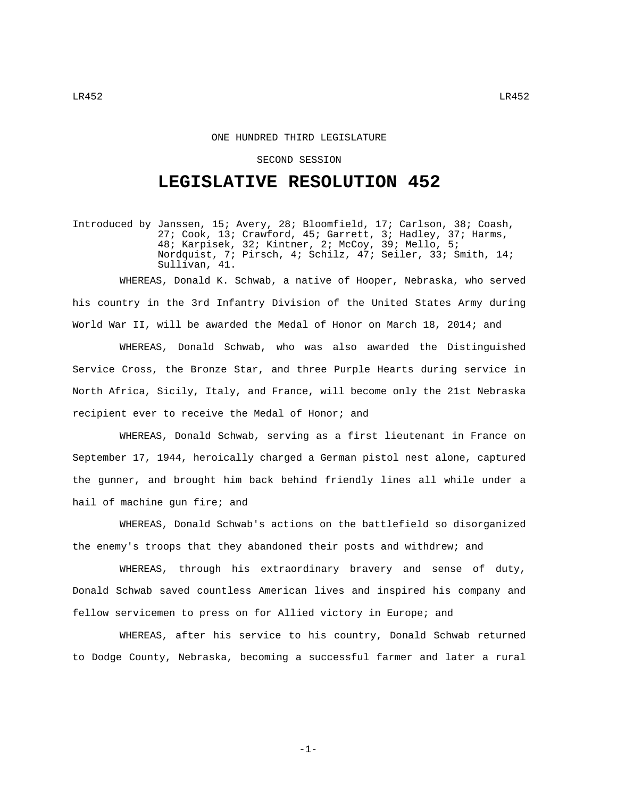## ONE HUNDRED THIRD LEGISLATURE

## SECOND SESSION

## **LEGISLATIVE RESOLUTION 452**

Introduced by Janssen, 15; Avery, 28; Bloomfield, 17; Carlson, 38; Coash, 27; Cook, 13; Crawford, 45; Garrett, 3; Hadley, 37; Harms, 48; Karpisek, 32; Kintner, 2; McCoy, 39; Mello, 5; Nordquist, 7; Pirsch, 4; Schilz, 47; Seiler, 33; Smith, 14; Sullivan, 41.

WHEREAS, Donald K. Schwab, a native of Hooper, Nebraska, who served his country in the 3rd Infantry Division of the United States Army during World War II, will be awarded the Medal of Honor on March 18, 2014; and

WHEREAS, Donald Schwab, who was also awarded the Distinguished Service Cross, the Bronze Star, and three Purple Hearts during service in North Africa, Sicily, Italy, and France, will become only the 21st Nebraska recipient ever to receive the Medal of Honor; and

WHEREAS, Donald Schwab, serving as a first lieutenant in France on September 17, 1944, heroically charged a German pistol nest alone, captured the gunner, and brought him back behind friendly lines all while under a hail of machine gun fire; and

WHEREAS, Donald Schwab's actions on the battlefield so disorganized the enemy's troops that they abandoned their posts and withdrew; and

WHEREAS, through his extraordinary bravery and sense of duty, Donald Schwab saved countless American lives and inspired his company and fellow servicemen to press on for Allied victory in Europe; and

WHEREAS, after his service to his country, Donald Schwab returned to Dodge County, Nebraska, becoming a successful farmer and later a rural

-1-